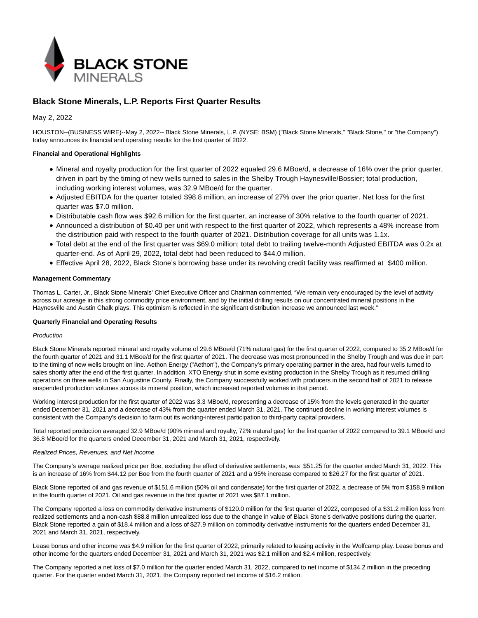

# **Black Stone Minerals, L.P. Reports First Quarter Results**

May 2, 2022

HOUSTON--(BUSINESS WIRE)--May 2, 2022-- Black Stone Minerals, L.P. (NYSE: BSM) ("Black Stone Minerals," "Black Stone," or "the Company") today announces its financial and operating results for the first quarter of 2022.

# **Financial and Operational Highlights**

- Mineral and royalty production for the first quarter of 2022 equaled 29.6 MBoe/d, a decrease of 16% over the prior quarter, driven in part by the timing of new wells turned to sales in the Shelby Trough Haynesville/Bossier; total production, including working interest volumes, was 32.9 MBoe/d for the quarter.
- Adjusted EBITDA for the quarter totaled \$98.8 million, an increase of 27% over the prior quarter. Net loss for the first quarter was \$7.0 million.
- Distributable cash flow was \$92.6 million for the first quarter, an increase of 30% relative to the fourth quarter of 2021.
- Announced a distribution of \$0.40 per unit with respect to the first quarter of 2022, which represents a 48% increase from the distribution paid with respect to the fourth quarter of 2021. Distribution coverage for all units was 1.1x.
- Total debt at the end of the first quarter was \$69.0 million; total debt to trailing twelve-month Adjusted EBITDA was 0.2x at quarter-end. As of April 29, 2022, total debt had been reduced to \$44.0 million.
- Effective April 28, 2022, Black Stone's borrowing base under its revolving credit facility was reaffirmed at \$400 million.

# **Management Commentary**

Thomas L. Carter, Jr., Black Stone Minerals' Chief Executive Officer and Chairman commented, "We remain very encouraged by the level of activity across our acreage in this strong commodity price environment, and by the initial drilling results on our concentrated mineral positions in the Haynesville and Austin Chalk plays. This optimism is reflected in the significant distribution increase we announced last week."

# **Quarterly Financial and Operating Results**

# Production

Black Stone Minerals reported mineral and royalty volume of 29.6 MBoe/d (71% natural gas) for the first quarter of 2022, compared to 35.2 MBoe/d for the fourth quarter of 2021 and 31.1 MBoe/d for the first quarter of 2021. The decrease was most pronounced in the Shelby Trough and was due in part to the timing of new wells brought on line. Aethon Energy ("Aethon"), the Company's primary operating partner in the area, had four wells turned to sales shortly after the end of the first quarter. In addition, XTO Energy shut in some existing production in the Shelby Trough as it resumed drilling operations on three wells in San Augustine County. Finally, the Company successfully worked with producers in the second half of 2021 to release suspended production volumes across its mineral position, which increased reported volumes in that period.

Working interest production for the first quarter of 2022 was 3.3 MBoe/d, representing a decrease of 15% from the levels generated in the quarter ended December 31, 2021 and a decrease of 43% from the quarter ended March 31, 2021. The continued decline in working interest volumes is consistent with the Company's decision to farm out its working-interest participation to third-party capital providers.

Total reported production averaged 32.9 MBoe/d (90% mineral and royalty, 72% natural gas) for the first quarter of 2022 compared to 39.1 MBoe/d and 36.8 MBoe/d for the quarters ended December 31, 2021 and March 31, 2021, respectively.

# Realized Prices, Revenues, and Net Income

The Company's average realized price per Boe, excluding the effect of derivative settlements, was \$51.25 for the quarter ended March 31, 2022. This is an increase of 16% from \$44.12 per Boe from the fourth quarter of 2021 and a 95% increase compared to \$26.27 for the first quarter of 2021.

Black Stone reported oil and gas revenue of \$151.6 million (50% oil and condensate) for the first quarter of 2022, a decrease of 5% from \$158.9 million in the fourth quarter of 2021. Oil and gas revenue in the first quarter of 2021 was \$87.1 million.

The Company reported a loss on commodity derivative instruments of \$120.0 million for the first quarter of 2022, composed of a \$31.2 million loss from realized settlements and a non-cash \$88.8 million unrealized loss due to the change in value of Black Stone's derivative positions during the quarter. Black Stone reported a gain of \$18.4 million and a loss of \$27.9 million on commodity derivative instruments for the quarters ended December 31, 2021 and March 31, 2021, respectively.

Lease bonus and other income was \$4.9 million for the first quarter of 2022, primarily related to leasing activity in the Wolfcamp play. Lease bonus and other income for the quarters ended December 31, 2021 and March 31, 2021 was \$2.1 million and \$2.4 million, respectively.

The Company reported a net loss of \$7.0 million for the quarter ended March 31, 2022, compared to net income of \$134.2 million in the preceding quarter. For the quarter ended March 31, 2021, the Company reported net income of \$16.2 million.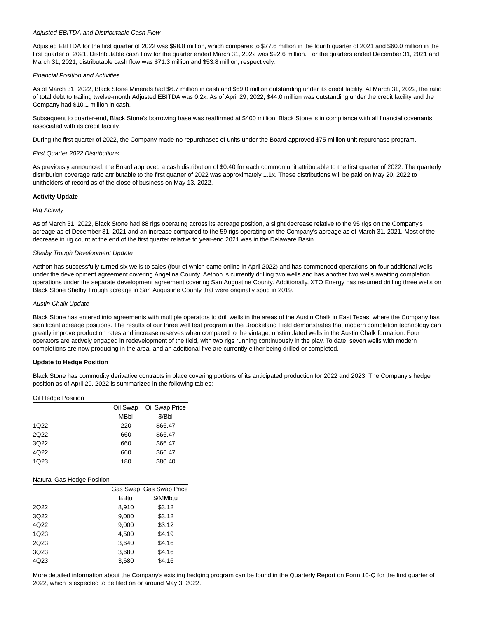#### Adjusted EBITDA and Distributable Cash Flow

Adjusted EBITDA for the first quarter of 2022 was \$98.8 million, which compares to \$77.6 million in the fourth quarter of 2021 and \$60.0 million in the first quarter of 2021. Distributable cash flow for the quarter ended March 31, 2022 was \$92.6 million. For the quarters ended December 31, 2021 and March 31, 2021, distributable cash flow was \$71.3 million and \$53.8 million, respectively.

#### Financial Position and Activities

As of March 31, 2022, Black Stone Minerals had \$6.7 million in cash and \$69.0 million outstanding under its credit facility. At March 31, 2022, the ratio of total debt to trailing twelve-month Adjusted EBITDA was 0.2x. As of April 29, 2022, \$44.0 million was outstanding under the credit facility and the Company had \$10.1 million in cash.

Subsequent to quarter-end, Black Stone's borrowing base was reaffirmed at \$400 million. Black Stone is in compliance with all financial covenants associated with its credit facility.

During the first quarter of 2022, the Company made no repurchases of units under the Board-approved \$75 million unit repurchase program.

## First Quarter 2022 Distributions

As previously announced, the Board approved a cash distribution of \$0.40 for each common unit attributable to the first quarter of 2022. The quarterly distribution coverage ratio attributable to the first quarter of 2022 was approximately 1.1x. These distributions will be paid on May 20, 2022 to unitholders of record as of the close of business on May 13, 2022.

## **Activity Update**

## Rig Activity

As of March 31, 2022, Black Stone had 88 rigs operating across its acreage position, a slight decrease relative to the 95 rigs on the Company's acreage as of December 31, 2021 and an increase compared to the 59 rigs operating on the Company's acreage as of March 31, 2021. Most of the decrease in rig count at the end of the first quarter relative to year-end 2021 was in the Delaware Basin.

## Shelby Trough Development Update

Aethon has successfully turned six wells to sales (four of which came online in April 2022) and has commenced operations on four additional wells under the development agreement covering Angelina County. Aethon is currently drilling two wells and has another two wells awaiting completion operations under the separate development agreement covering San Augustine County. Additionally, XTO Energy has resumed drilling three wells on Black Stone Shelby Trough acreage in San Augustine County that were originally spud in 2019.

## Austin Chalk Update

Black Stone has entered into agreements with multiple operators to drill wells in the areas of the Austin Chalk in East Texas, where the Company has significant acreage positions. The results of our three well test program in the Brookeland Field demonstrates that modern completion technology can greatly improve production rates and increase reserves when compared to the vintage, unstimulated wells in the Austin Chalk formation. Four operators are actively engaged in redevelopment of the field, with two rigs running continuously in the play. To date, seven wells with modern completions are now producing in the area, and an additional five are currently either being drilled or completed.

#### **Update to Hedge Position**

Black Stone has commodity derivative contracts in place covering portions of its anticipated production for 2022 and 2023. The Company's hedge position as of April 29, 2022 is summarized in the following tables:

## Oil Hedge Position

|      | Oil Swap    | Oil Swap Price |  |  |  |
|------|-------------|----------------|--|--|--|
|      | <b>MBbl</b> | \$/Bbl         |  |  |  |
| 1Q22 | 220         | \$66.47        |  |  |  |
| 2Q22 | 660         | \$66.47        |  |  |  |
| 3Q22 | 660         | \$66.47        |  |  |  |
| 4Q22 | 660         | \$66.47        |  |  |  |
| 1Q23 | 180         | \$80.40        |  |  |  |

#### Natural Gas Hedge Position

|      |             | Gas Swap Gas Swap Price |
|------|-------------|-------------------------|
|      | <b>BBtu</b> | \$/MMbtu                |
| 2Q22 | 8.910       | \$3.12                  |
| 3Q22 | 9,000       | \$3.12                  |
| 4Q22 | 9,000       | \$3.12                  |
| 1Q23 | 4,500       | \$4.19                  |
| 2Q23 | 3,640       | \$4.16                  |
| 3Q23 | 3,680       | \$4.16                  |
| 4Q23 | 3.680       | \$4.16                  |

More detailed information about the Company's existing hedging program can be found in the Quarterly Report on Form 10-Q for the first quarter of 2022, which is expected to be filed on or around May 3, 2022.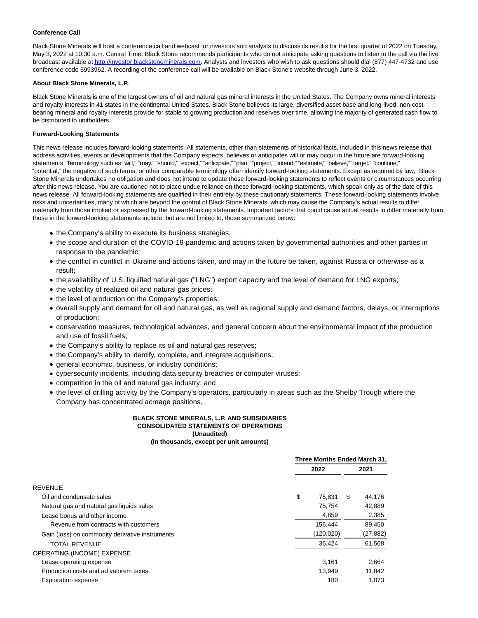# **Conference Call**

Black Stone Minerals will host a conference call and webcast for investors and analysts to discuss its results for the first quarter of 2022 on Tuesday, May 3, 2022 at 10:30 a.m. Central Time. Black Stone recommends participants who do not anticipate asking questions to listen to the call via the live broadcast available a[t http://investor.blackstoneminerals.com.](https://cts.businesswire.com/ct/CT?id=smartlink&url=http%3A%2F%2Finvestor.blackstoneminerals.com&esheet=52704417&newsitemid=20220502005563&lan=en-US&anchor=http%3A%2F%2Finvestor.blackstoneminerals.com&index=1&md5=443a4f2435fedfe1b9507b3bce1acc70) Analysts and investors who wish to ask questions should dial (877) 447-4732 and use conference code 5993962. A recording of the conference call will be available on Black Stone's website through June 3, 2022.

# **About Black Stone Minerals, L.P.**

Black Stone Minerals is one of the largest owners of oil and natural gas mineral interests in the United States. The Company owns mineral interests and royalty interests in 41 states in the continental United States. Black Stone believes its large, diversified asset base and long-lived, non-costbearing mineral and royalty interests provide for stable to growing production and reserves over time, allowing the majority of generated cash flow to be distributed to unitholders.

## **Forward-Looking Statements**

This news release includes forward-looking statements. All statements, other than statements of historical facts, included in this news release that address activities, events or developments that the Company expects, believes or anticipates will or may occur in the future are forward-looking statements. Terminology such as "will," "may," "should," "expect," "anticipate," "plan," "project," "intend," "estimate," "believe," "target," "continue," "potential," the negative of such terms, or other comparable terminology often identify forward-looking statements. Except as required by law, Black Stone Minerals undertakes no obligation and does not intend to update these forward-looking statements to reflect events or circumstances occurring after this news release. You are cautioned not to place undue reliance on these forward-looking statements, which speak only as of the date of this news release. All forward-looking statements are qualified in their entirety by these cautionary statements. These forward-looking statements involve risks and uncertainties, many of which are beyond the control of Black Stone Minerals, which may cause the Company's actual results to differ materially from those implied or expressed by the forward-looking statements. Important factors that could cause actual results to differ materially from those in the forward-looking statements include, but are not limited to, those summarized below:

- the Company's ability to execute its business strategies;
- the scope and duration of the COVID-19 pandemic and actions taken by governmental authorities and other parties in response to the pandemic;
- the conflict in conflict in Ukraine and actions taken, and may in the future be taken, against Russia or otherwise as a result;
- the availability of U.S. liquified natural gas ("LNG") export capacity and the level of demand for LNG exports;
- the volatility of realized oil and natural gas prices;
- the level of production on the Company's properties;
- overall supply and demand for oil and natural gas, as well as regional supply and demand factors, delays, or interruptions of production;
- conservation measures, technological advances, and general concern about the environmental impact of the production and use of fossil fuels;
- the Company's ability to replace its oil and natural gas reserves;
- the Company's ability to identify, complete, and integrate acquisitions;
- general economic, business, or industry conditions;
- cybersecurity incidents, including data security breaches or computer viruses;
- competition in the oil and natural gas industry; and
- the level of drilling activity by the Company's operators, particularly in areas such as the Shelby Trough where the Company has concentrated acreage positions.

# **BLACK STONE MINERALS, L.P. AND SUBSIDIARIES CONSOLIDATED STATEMENTS OF OPERATIONS (Unaudited)**

**(In thousands, except per unit amounts)**

|                                                                       | Three Months Ended March 31, |     |                  |  |
|-----------------------------------------------------------------------|------------------------------|-----|------------------|--|
|                                                                       | 2022                         |     | 2021             |  |
| <b>REVENUE</b>                                                        |                              |     |                  |  |
| Oil and condensate sales<br>Natural gas and natural gas liquids sales | \$<br>75.831<br>75,754       | \$. | 44,176<br>42,889 |  |
| Lease bonus and other income                                          | 4,859                        |     | 2,385            |  |
| Revenue from contracts with customers                                 | 156.444                      |     | 89.450           |  |
| Gain (loss) on commodity derivative instruments                       | (120, 020)                   |     | (27, 882)        |  |
| TOTAL REVENUE                                                         | 36,424                       |     | 61,568           |  |
| <b>OPERATING (INCOME) EXPENSE</b>                                     |                              |     |                  |  |
| Lease operating expense                                               | 3,161                        |     | 2,664            |  |
| Production costs and ad valorem taxes                                 | 13,949                       |     | 11.842           |  |
| <b>Exploration expense</b>                                            | 180                          |     | 1,073            |  |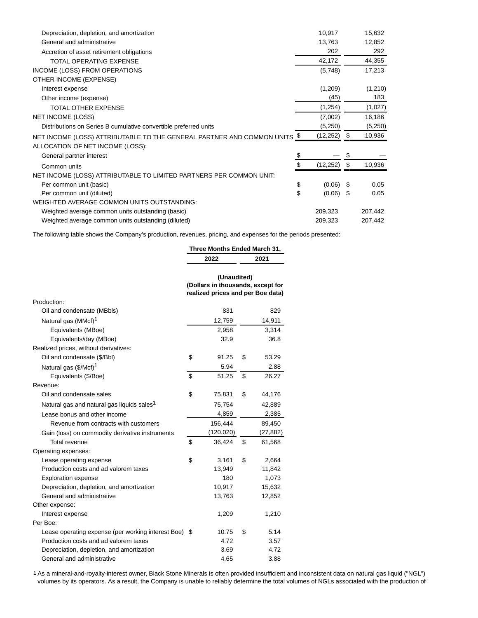| Depreciation, depletion, and amortization                                        | 10,917            | 15,632       |
|----------------------------------------------------------------------------------|-------------------|--------------|
| General and administrative                                                       | 13,763            | 12,852       |
| Accretion of asset retirement obligations                                        | 202               | 292          |
| TOTAL OPERATING EXPENSE                                                          | 42,172            | 44,355       |
| INCOME (LOSS) FROM OPERATIONS                                                    | (5,748)           | 17,213       |
| OTHER INCOME (EXPENSE)                                                           |                   |              |
| Interest expense                                                                 | (1,209)           | (1,210)      |
| Other income (expense)                                                           | (45)              | 183          |
| TOTAL OTHER EXPENSE                                                              | (1,254)           | (1,027)      |
| NET INCOME (LOSS)                                                                | (7,002)           | 16,186       |
| Distributions on Series B cumulative convertible preferred units                 | (5,250)           | (5,250)      |
| NET INCOME (LOSS) ATTRIBUTABLE TO THE GENERAL PARTNER AND COMMON UNITS <b>\$</b> | (12, 252)         | \$<br>10,936 |
| ALLOCATION OF NET INCOME (LOSS):                                                 |                   |              |
| General partner interest                                                         | \$                | \$           |
| Common units                                                                     | \$<br>(12, 252)   | \$<br>10,936 |
| NET INCOME (LOSS) ATTRIBUTABLE TO LIMITED PARTNERS PER COMMON UNIT:              |                   |              |
| Per common unit (basic)                                                          | \$<br>$(0.06)$ \$ | 0.05         |
| Per common unit (diluted)                                                        | \$<br>$(0.06)$ \$ | 0.05         |
| WEIGHTED AVERAGE COMMON UNITS OUTSTANDING:                                       |                   |              |
| Weighted average common units outstanding (basic)                                | 209,323           | 207,442      |
| Weighted average common units outstanding (diluted)                              | 209,323           | 207,442      |

The following table shows the Company's production, revenues, pricing, and expenses for the periods presented:

|                                                        | Three Months Ended March 31,                                                          |            |      |           |  |
|--------------------------------------------------------|---------------------------------------------------------------------------------------|------------|------|-----------|--|
|                                                        |                                                                                       | 2022       | 2021 |           |  |
|                                                        | (Unaudited)<br>(Dollars in thousands, except for<br>realized prices and per Boe data) |            |      |           |  |
| Production:                                            |                                                                                       |            |      |           |  |
| Oil and condensate (MBbls)                             |                                                                                       | 831        |      | 829       |  |
| Natural gas (MMcf) <sup>1</sup>                        |                                                                                       | 12,759     |      | 14,911    |  |
| Equivalents (MBoe)                                     |                                                                                       | 2,958      |      | 3,314     |  |
| Equivalents/day (MBoe)                                 |                                                                                       | 32.9       |      | 36.8      |  |
| Realized prices, without derivatives:                  |                                                                                       |            |      |           |  |
| Oil and condensate (\$/Bbl)                            | \$                                                                                    | 91.25      | \$   | 53.29     |  |
| Natural gas (\$/Mcf) <sup>1</sup>                      |                                                                                       | 5.94       |      | 2.88      |  |
| Equivalents (\$/Boe)                                   | \$                                                                                    | 51.25      | \$   | 26.27     |  |
| Revenue:                                               |                                                                                       |            |      |           |  |
| Oil and condensate sales                               | \$                                                                                    | 75,831     | \$   | 44,176    |  |
| Natural gas and natural gas liquids sales <sup>1</sup> |                                                                                       | 75,754     |      | 42,889    |  |
| Lease bonus and other income                           |                                                                                       | 4,859      |      | 2,385     |  |
| Revenue from contracts with customers                  |                                                                                       | 156,444    |      | 89,450    |  |
| Gain (loss) on commodity derivative instruments        |                                                                                       | (120, 020) |      | (27, 882) |  |
| <b>Total revenue</b>                                   | \$                                                                                    | 36,424     | \$   | 61,568    |  |
| Operating expenses:                                    |                                                                                       |            |      |           |  |
| Lease operating expense                                | \$                                                                                    | 3,161      | \$   | 2,664     |  |
| Production costs and ad valorem taxes                  |                                                                                       | 13,949     |      | 11,842    |  |
| <b>Exploration expense</b>                             |                                                                                       | 180        |      | 1,073     |  |
| Depreciation, depletion, and amortization              |                                                                                       | 10,917     |      | 15,632    |  |
| General and administrative                             |                                                                                       | 13,763     |      | 12,852    |  |
| Other expense:                                         |                                                                                       |            |      |           |  |
| Interest expense                                       |                                                                                       | 1,209      |      | 1,210     |  |
| Per Boe:                                               |                                                                                       |            |      |           |  |
| Lease operating expense (per working interest Boe) \$  |                                                                                       | 10.75      | \$   | 5.14      |  |
| Production costs and ad valorem taxes                  |                                                                                       | 4.72       |      | 3.57      |  |
| Depreciation, depletion, and amortization              |                                                                                       | 3.69       |      | 4.72      |  |
| General and administrative                             |                                                                                       | 4.65       |      | 3.88      |  |

1 As a mineral-and-royalty-interest owner, Black Stone Minerals is often provided insufficient and inconsistent data on natural gas liquid ("NGL") volumes by its operators. As a result, the Company is unable to reliably determine the total volumes of NGLs associated with the production of